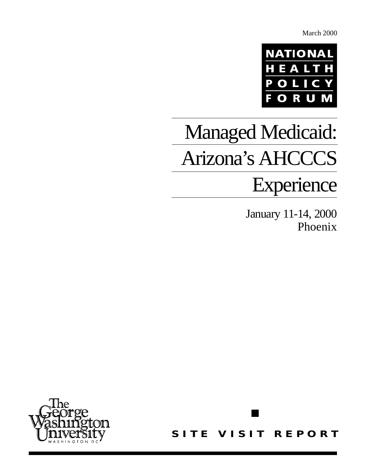March 2000



# Managed Medicaid: Arizona's AHCCCS

## Experience

January 11-14, 2000 Phoenix



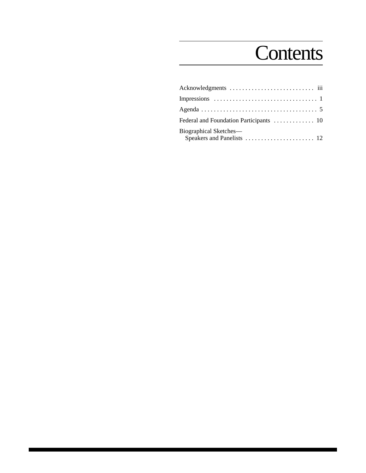## **Contents**

| Biographical Sketches— |
|------------------------|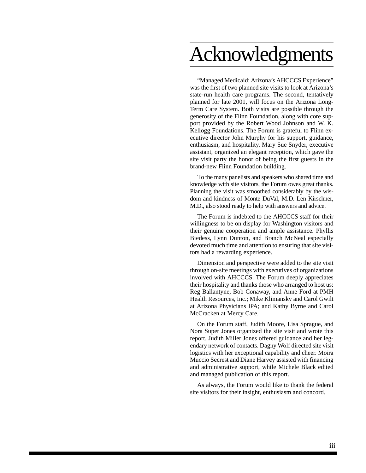## Acknowledgments

"Managed Medicaid: Arizona's AHCCCS Experience" was the first of two planned site visits to look at Arizona's state-run health care programs. The second, tentatively planned for late 2001, will focus on the Arizona Long-Term Care System. Both visits are possible through the generosity of the Flinn Foundation, along with core support provided by the Robert Wood Johnson and W. K. Kellogg Foundations. The Forum is grateful to Flinn executive director John Murphy for his support, guidance, enthusiasm, and hospitality. Mary Sue Snyder, executive assistant, organized an elegant reception, which gave the site visit party the honor of being the first guests in the brand-new Flinn Foundation building.

To the many panelists and speakers who shared time and knowledge with site visitors, the Forum owes great thanks. Planning the visit was smoothed considerably by the wisdom and kindness of Monte DuVal, M.D. Len Kirschner, M.D., also stood ready to help with answers and advice.

The Forum is indebted to the AHCCCS staff for their willingness to be on display for Washington visitors and their genuine cooperation and ample assistance. Phyllis Biedess, Lynn Dunton, and Branch McNeal especially devoted much time and attention to ensuring that site visitors had a rewarding experience.

Dimension and perspective were added to the site visit through on-site meetings with executives of organizations involved with AHCCCS. The Forum deeply appreciates their hospitality and thanks those who arranged to host us: Reg Ballantyne, Bob Conaway, and Anne Ford at PMH Health Resources, Inc.; Mike Klimansky and Carol Gwilt at Arizona Physicians IPA; and Kathy Byrne and Carol McCracken at Mercy Care.

On the Forum staff, Judith Moore, Lisa Sprague, and Nora Super Jones organized the site visit and wrote this report. Judith Miller Jones offered guidance and her legendary network of contacts. Dagny Wolf directed site visit logistics with her exceptional capability and cheer. Moira Muccio Secrest and Diane Harvey assisted with financing and administrative support, while Michele Black edited and managed publication of this report.

As always, the Forum would like to thank the federal site visitors for their insight, enthusiasm and concord.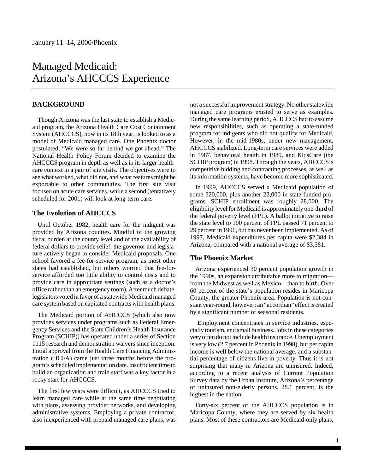## Managed Medicaid: Arizona's AHCCCS Experience

#### **BACKGROUND**

Though Arizona was the last state to establish a Medicaid program, the Arizona Health Care Cost Containment System (AHCCCS), now in its 18th year, is looked to as a model of Medicaid managed care. One Phoenix doctor postulated, "We were so far behind we got ahead." The National Health Policy Forum decided to examine the AHCCCS program in depth as well as in its larger healthcare context in a pair of site visits. The objectives were to see what worked, what did not, and what features might be exportable to other communities. The first site visit focused on acute care services, while a second (tentatively scheduled for 2001) will look at long-term care.

#### **The Evolution of AHCCCS**

Until October 1982, health care for the indigent was provided by Arizona counties. Mindful of the growing fiscal burden at the county level and of the availability of federal dollars to provide relief, the governor and legislature actively began to consider Medicaid proposals. One school favored a fee-for-service program, as most other states had established, but others worried that fee-forservice afforded too little ability to control costs and to provide care in appropriate settings (such as a doctor's office rather than an emergency room). After much debate, legislators voted in favor of a statewide Medicaid managed care system based on capitated contracts with health plans.

The Medicaid portion of AHCCCS (which also now provides services under programs such as Federal Emergency Services and the State Children's Health Insurance Program (SCHIP)) has operated under a series of Section 1115 research and demonstration waivers since inception. Initial approval from the Health Care Financing Administration (HCFA) came just three months before the program's scheduled implementation date. Insufficient time to build an organization and train staff was a key factor in a rocky start for AHCCCS.

The first few years were difficult, as AHCCCS tried to learn managed care while at the same time negotiating with plans, assessing provider networks, and developing administrative systems. Employing a private contractor, also inexperienced with prepaid managed care plans, was

not a successful improvement strategy. No other statewide managed care programs existed to serve as examples. During the same learning period, AHCCCS had to assume new responsibilities, such as operating a state-funded program for indigents who did not qualify for Medicaid. However, in the mid-1980s, under new management, AHCCCS stabilized. Long-term care services were added in 1987, behavioral health in 1989, and KidsCare (the SCHIP program) in 1998. Through the years, AHCCCS's competitive bidding and contracting processes, as well as its information systems, have become more sophisticated.

In 1999, AHCCCS served a Medicaid population of some 320,000, plus another 22,000 in state-funded programs. SCHIP enrollment was roughly 28,000. The eligibility level for Medicaid is approximately one-third of the federal poverty level (FPL). A ballot initiative to raise the state level to 100 percent of FPL passed 71 percent to 29 percent in 1996, but has never been implemented. As of 1997, Medicaid expenditures per capita were \$2,384 in Arizona, compared with a national average of \$3,581.

#### **The Phoenix Market**

Arizona experienced 30 percent population growth in the 1990s, an expansion attributable more to migration from the Midwest as well as Mexico—than to birth. Over 60 percent of the state's population resides in Maricopa County, the greater Phoenix area. Population is not constant year-round, however; an "accordian" effect is created by a significant number of seasonal residents.

 Employment concentrates in service industries, especially tourism, and small business. Jobs in these categories very often do not include health insurance. Unemployment is very low (2.7 percent in Phoenix in 1998), but per capita income is well below the national average, and a substantial percentage of citizens live in poverty. Thus it is not surprising that many in Arizona are uninsured. Indeed, according to a recent analysis of Current Population Survey data by the Urban Institute, Arizona's percentage of uninsured non-elderly persons, 28.1 percent, is the highest in the nation.

Forty-six percent of the AHCCCS population is in Maricopa County, where they are served by six health plans. Most of these contractors are Medicaid-only plans,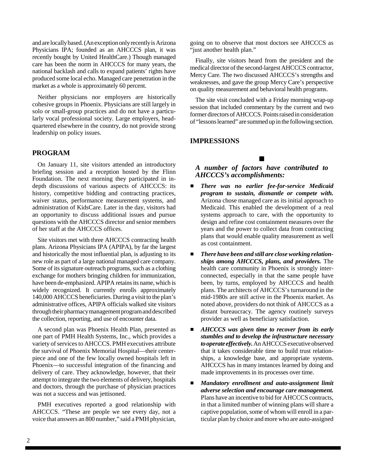and are locally based. (An exception only recently is Arizona Physicians IPA; founded as an AHCCCS plan, it was recently bought by United HealthCare.) Though managed care has been the norm in AHCCCS for many years, the national backlash and calls to expand patients' rights have produced some local echo. Managed care penetration in the market as a whole is approximately 60 percent.

Neither physicians nor employers are historically cohesive groups in Phoenix. Physicians are still largely in solo or small-group practices and do not have a particularly vocal professional society. Large employers, headquartered elsewhere in the country, do not provide strong leadership on policy issues.

#### **PROGRAM**

On January 11, site visitors attended an introductory briefing session and a reception hosted by the Flinn Foundation. The next morning they participated in indepth discussions of various aspects of AHCCCS: its history, competitive bidding and contracting practices, waiver status, performance measurement systems, and administration of KidsCare. Later in the day, visitors had an opportunity to discuss additional issues and pursue questions with the AHCCCS director and senior members of her staff at the AHCCCS offices.

Site visitors met with three AHCCCS contracting health plans. Arizona Physicians IPA (APIPA), by far the largest and historically the most influential plan, is adjusting to its new role as part of a large national managed care company. Some of its signature outreach programs, such as a clothing exchange for mothers bringing children for immunization, have been de-emphasized. APIPA retains its name, which is widely recognized. It currently enrolls approximately 140,000 AHCCCS beneficiaries. During a visit to the plan's administrative offices, APIPA officials walked site visitors through their pharmacy management program and described the collection, reporting, and use of encounter data.

A second plan was Phoenix Health Plan, presented as one part of PMH Health Systems, Inc., which provides a variety of services to AHCCCS. PMH executives attribute the survival of Phoenix Memorial Hospital—their centerpiece and one of the few locally owned hospitals left in Phoenix—to successful integration of the financing and delivery of care. They acknowledge, however, that their attempt to integrate the two elements of delivery, hospitals and doctors, through the purchase of physician practices was not a success and was jettisoned.

PMH executives reported a good relationship with AHCCCS. "These are people we see every day, not a voice that answers an 800 number," said a PMH physician,

going on to observe that most doctors see AHCCCS as "just another health plan."

Finally, site visitors heard from the president and the medical director of the second-largest AHCCCS contractor, Mercy Care. The two discussed AHCCCS's strengths and weaknesses, and gave the group Mercy Care's perspective on quality measurement and behavioral health programs.

The site visit concluded with a Friday morning wrap-up session that included commentary by the current and two former directors of AHCCCS. Points raised in consideration of "lessons learned" are summed up in the following section.

#### **IMPRESSIONS**

#### $\blacksquare$

*A number of factors have contributed to AHCCCS's accomplishments:*

- *There was no earlier fee-for-service Medicaid program to sustain, dismantle or compete with.* Arizona chose managed care as its initial approach to Medicaid. This enabled the development of a real systems approach to care, with the opportunity to design and refine cost containment measures over the years and the power to collect data from contracting plans that would enable quality measurement as well as cost containment.
- $\blacksquare$  *There have been and still are close working relationships among AHCCCS, plans, and providers.* The health care community in Phoenix is strongly interconnected, especially in that the same people have been, by turns, employed by AHCCCS and health plans. The architects of AHCCCS's turnaround in the mid-1980s are still active in the Phoenix market. As noted above, providers do not think of AHCCCS as a distant bureaucracy. The agency routinely surveys provider as well as beneficiary satisfaction.
- $\blacksquare$  *AHCCCS was given time to recover from its early stumbles and to develop the infrastructure necessary to operate effectively.* An AHCCCS executive observed that it takes considerable time to build trust relationships, a knowledge base, and appropriate systems. AHCCCS has in many instances learned by doing and made improvements in its processes over time.
- $\blacksquare$  *Mandatory enrollment and auto-assignment limit adverse selection and encourage care management.* Plans have an incentive to bid for AHCCCS contracts, in that a limited number of winning plans will share a captive population, some of whom will enroll in a particular plan by choice and more who are auto-assigned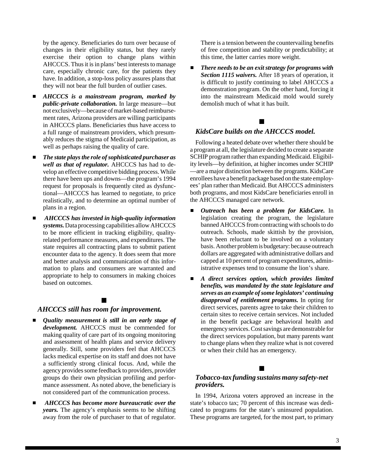by the agency. Beneficiaries do turn over because of changes in their eligibility status, but they rarely exercise their option to change plans within AHCCCS. Thus it is in plans' best interests to manage care, especially chronic care, for the patients they have. In addition, a stop-loss policy assures plans that they will not bear the full burden of outlier cases.

- $\blacksquare$  *AHCCCS is a mainstream program, marked by public-private collaboration.* In large measure—but not exclusively—because of market-based reimbursement rates, Arizona providers are willing participants in AHCCCS plans. Beneficiaries thus have access to a full range of mainstream providers, which presumably reduces the stigma of Medicaid participation, as well as perhaps raising the quality of care.
- $\blacksquare$  *The state plays the role of sophisticated purchaser as well as that of regulator.* AHCCCS has had to develop an effective competitive bidding process. While there have been ups and downs—the program's 1994 request for proposals is frequently cited as dysfunctional—AHCCCS has learned to negotiate, to price realistically, and to determine an optimal number of plans in a region.
- *AHCCCS has invested in high-quality information systems.* Data processing capabilities allow AHCCCS to be more efficient in tracking eligibility, qualityrelated performance measures, and expenditures. The state requires all contracting plans to submit patient encounter data to the agency. It does seem that more and better analysis and communication of this information to plans and consumers are warranted and appropriate to help to consumers in making choices based on outcomes.

#### $\blacksquare$

#### *AHCCCS still has room for improvement.*

- $\blacksquare$  *Quality measurement is still in an early stage of development.* AHCCCS must be commended for making quality of care part of its ongoing monitoring and assessment of health plans and service delivery generally. Still, some providers feel that AHCCCS lacks medical expertise on its staff and does not have a sufficiently strong clinical focus. And, while the agency provides some feedback to providers, provider groups do their own physician profiling and performance assessment. As noted above, the beneficiary is not considered part of the communication process.
- *AHCCCS has become more bureaucratic over the years.* The agency's emphasis seems to be shifting away from the role of purchaser to that of regulator.

There is a tension between the countervailing benefits of free competition and stability or predictability; at this time, the latter carries more weight.

 $\blacksquare$  *There needs to be an exit strategy for programs with Section 1115 waivers.* After 18 years of operation, it is difficult to justify continuing to label AHCCCS a demonstration program. On the other hand, forcing it into the mainstream Medicaid mold would surely demolish much of what it has built.

### $\blacksquare$

#### *KidsCare builds on the AHCCCS model.*

Following a heated debate over whether there should be a program at all, the legislature decided to create a separate SCHIP program rather than expanding Medicaid. Eligibility levels—by definition, at higher incomes under SCHIP —are a major distinction between the programs. KidsCare enrollees have a benefit package based on the state employees' plan rather than Medicaid. But AHCCCS administers both programs, and most KidsCare beneficiaries enroll in the AHCCCS managed care network.

- $\blacksquare$  *Outreach has been a problem for KidsCare.* In legislation creating the program, the legislature banned AHCCCS from contracting with schools to do outreach. Schools, made skittish by the provision, have been reluctant to be involved on a voluntary basis. Another problem is budgetary: because outreach dollars are aggregated with administrative dollars and capped at 10 percent of program expenditures, administrative expenses tend to consume the lion's share.
- $\blacksquare$  *A direct services option, which provides limited benefits, was mandated by the state legislature and serves as an example of some legislators' continuing disapproval of entitlement programs.* In opting for direct services, parents agree to take their children to certain sites to receive certain services. Not included in the benefit package are behavioral health and emergency services. Cost savings are demonstrable for the direct services population, but many parents want to change plans when they realize what is not covered or when their child has an emergency.

#### $\blacksquare$

#### *Tobacco-tax funding sustains many safety-net providers.*

In 1994, Arizona voters approved an increase in the state's tobacco tax; 70 percent of this increase was dedicated to programs for the state's uninsured population. These programs are targeted, for the most part, to primary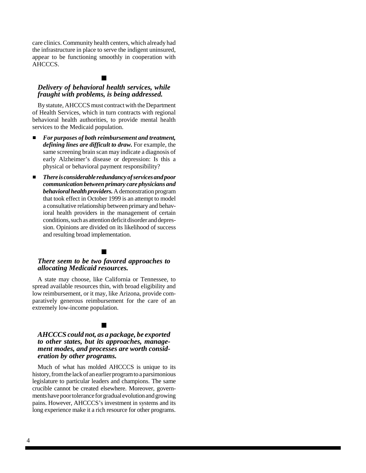care clinics. Community health centers, which already had the infrastructure in place to serve the indigent uninsured, appear to be functioning smoothly in cooperation with AHCCCS.

#### $\blacksquare$

#### *Delivery of behavioral health services, while fraught with problems, is being addressed.*

By statute, AHCCCS must contract with the Department of Health Services, which in turn contracts with regional behavioral health authorities, to provide mental health services to the Medicaid population.

- $\blacksquare$  *For purposes of both reimbursement and treatment, defining lines are difficult to draw.* For example, the same screening brain scan may indicate a diagnosis of early Alzheimer's disease or depression: Is this a physical or behavioral payment responsibility?
- $\blacksquare$  *There is considerable redundancy of services and poor communication between primary care physicians and behavioral health providers.* A demonstration program that took effect in October 1999 is an attempt to model a consultative relationship between primary and behavioral health providers in the management of certain conditions, such as attention deficit disorder and depression. Opinions are divided on its likelihood of success and resulting broad implementation.

#### $\blacksquare$

#### *There seem to be two favored approaches to allocating Medicaid resources.*

A state may choose, like California or Tennessee, to spread available resources thin, with broad eligibility and low reimbursement, or it may, like Arizona, provide comparatively generous reimbursement for the care of an extremely low-income population.

#### $\blacksquare$

#### *AHCCCS could not, as a package, be exported to other states, but its approaches, management modes, and processes are worth consideration by other programs.*

Much of what has molded AHCCCS is unique to its history, from the lack of an earlier program to a parsimonious legislature to particular leaders and champions. The same crucible cannot be created elsewhere. Moreover, governments have poor tolerance for gradual evolution and growing pains. However, AHCCCS's investment in systems and its long experience make it a rich resource for other programs.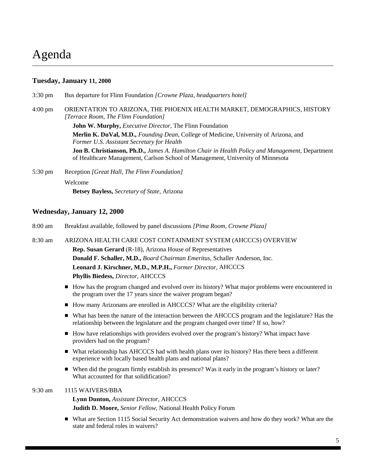## Agenda

#### **Tuesday, January 11, 2000**

3:30 pm Bus departure for Flinn Foundation *[Crowne Plaza, headquarters hotel]* 4:00 pm ORIENTATION TO ARIZONA, THE PHOENIX HEALTH MARKET, DEMOGRAPHICS, HISTORY *[Terrace Room, The Flinn Foundation]* **John W. Murphy,** *Executive Director,* The Flinn Foundation **Merlin K. DuVal, M.D.,** *Founding Dean,* College of Medicine, University of Arizona, and *Former U.S. Assistant Secretary for Health* **Jon B. Christianson, Ph.D.,** *James A. Hamilton Chair in Health Policy and Management,* Department of Healthcare Management, Carlson School of Management, University of Minnesota 5:30 pm Reception *[Great Hall, The Flinn Foundation]* Welcome

**Betsey Bayless,** *Secretary of State,* Arizona

#### **Wednesday, January 12, 2000**

| $8:00 \text{ am}$ | Breakfast available, followed by panel discussions [Pima Room, Crowne Plaza]                                                                                                               |
|-------------------|--------------------------------------------------------------------------------------------------------------------------------------------------------------------------------------------|
| $8:30 \text{ am}$ | ARIZONA HEALTH CARE COST CONTAINMENT SYSTEM (AHCCCS) OVERVIEW                                                                                                                              |
|                   | <b>Rep. Susan Gerard</b> (R-18), Arizona House of Representatives                                                                                                                          |
|                   | Donald F. Schaller, M.D., Board Chairman Emeritus, Schaller Anderson, Inc.                                                                                                                 |
|                   | Leonard J. Kirschner, M.D., M.P.H., Former Director, AHCCCS                                                                                                                                |
|                   | <b>Phyllis Biedess, Director, AHCCCS</b>                                                                                                                                                   |
|                   | • How has the program changed and evolved over its history? What major problems were encountered in<br>the program over the 17 years since the waiver program began?                       |
|                   | • How many Arizonans are enrolled in AHCCCS? What are the eligibility criteria?                                                                                                            |
|                   | What has been the nature of the interaction between the AHCCCS program and the legislature? Has the<br>relationship between the legislature and the program changed over time? If so, how? |
|                   | • How have relationships with providers evolved over the program's history? What impact have<br>providers had on the program?                                                              |
|                   | What relationship has AHCCCS had with health plans over its history? Has there been a different<br>П<br>experience with locally based health plans and national plans?                     |

When did the program firmly establish its presence? Was it early in the program's history or later? What accounted for that solidification?

#### 9:30 am 1115 WAIVERS/BBA

**Lynn Dunton,** *Assistant Director,* AHCCCS **Judith D. Moore,** *Senior Fellow,* National Health Policy Forum

■ What are Section 1115 Social Security Act demonstration waivers and how do they work? What are the state and federal roles in waivers?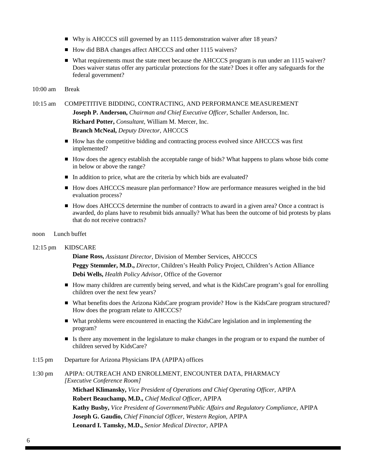- Why is AHCCCS still governed by an 1115 demonstration waiver after 18 years?
- How did BBA changes affect AHCCCS and other 1115 waivers?
- What requirements must the state meet because the AHCCCS program is run under an 1115 waiver? Does waiver status offer any particular protections for the state? Does it offer any safeguards for the federal government?

#### 10:00 am Break

#### 10:15 am COMPETITIVE BIDDING, CONTRACTING, AND PERFORMANCE MEASUREMENT

**Joseph P. Anderson,** *Chairman and Chief Executive Officer,* Schaller Anderson, Inc. **Richard Potter,** *Consultant,* William M. Mercer, Inc. **Branch McNeal,** *Deputy Director,* AHCCCS

- How has the competitive bidding and contracting process evolved since AHCCCS was first implemented?
- How does the agency establish the acceptable range of bids? What happens to plans whose bids come in below or above the range?
- In addition to price, what are the criteria by which bids are evaluated?
- How does AHCCCS measure plan performance? How are performance measures weighed in the bid evaluation process?
- How does AHCCCS determine the number of contracts to award in a given area? Once a contract is awarded, do plans have to resubmit bids annually? What has been the outcome of bid protests by plans that do not receive contracts?
- noon Lunch buffet

#### 12:15 pm KIDSCARE

**Diane Ross,** *Assistant Director,* Division of Member Services, AHCCCS **Peggy Stemmler, M.D.,** *Director,* Children's Health Policy Project, Children's Action Alliance **Debi Wells,** *Health Policy Advisor,* Office of the Governor

- How many children are currently being served, and what is the KidsCare program's goal for enrolling children over the next few years?
- What benefits does the Arizona KidsCare program provide? How is the KidsCare program structured? How does the program relate to AHCCCS?
- What problems were encountered in enacting the KidsCare legislation and in implementing the program?
- Is there any movement in the legislature to make changes in the program or to expand the number of children served by KidsCare?
- 1:15 pm Departure for Arizona Physicians IPA (APIPA) offices

#### 1:30 pm APIPA: OUTREACH AND ENROLLMENT, ENCOUNTER DATA, PHARMACY *[Executive Conference Room]*

**Michael Klimansky,** *Vice President of Operations and Chief Operating Officer,* APIPA **Robert Beauchamp, M.D.,** *Chief Medical Officer,* APIPA **Kathy Busby,** *Vice President of Government/Public Affairs and Regulatory Compliance,* APIPA **Joseph G. Gaudio,** *Chief Financial Officer, Western Region,* APIPA **Leonard I. Tamsky, M.D.,** *Senior Medical Director,* APIPA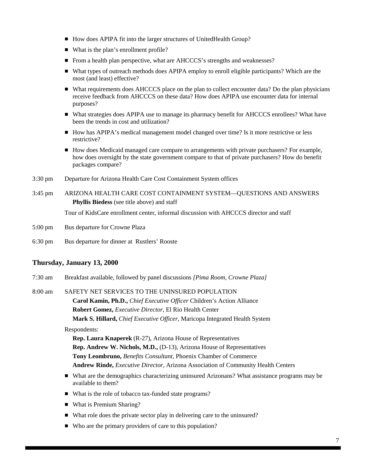- How does APIPA fit into the larger structures of UnitedHealth Group?
- What is the plan's enrollment profile?
- From a health plan perspective, what are AHCCCS's strengths and weaknesses?
- What types of outreach methods does APIPA employ to enroll eligible participants? Which are the most (and least) effective?
- What requirements does AHCCCS place on the plan to collect encounter data? Do the plan physicians receive feedback from AHCCCS on these data? How does APIPA use encounter data for internal purposes?
- What strategies does APIPA use to manage its pharmacy benefit for AHCCCS enrollees? What have been the trends in cost and utilization?
- How has APIPA's medical management model changed over time? Is it more restrictive or less restrictive?
- How does Medicaid managed care compare to arrangements with private purchasers? For example, how does oversight by the state government compare to that of private purchasers? How do benefit packages compare?
- 3:30 pm Departure for Arizona Health Care Cost Containment System offices
- 3:45 pm ARIZONA HEALTH CARE COST CONTAINMENT SYSTEM—QUESTIONS AND ANSWERS **Phyllis Biedess** (see title above) and staff

Tour of KidsCare enrollment center, informal discussion with AHCCCS director and staff

- 5:00 pm Bus departure for Crowne Plaza
- 6:30 pm Bus departure for dinner at Rustlers' Rooste

#### **Thursday, January 13, 2000**

7:30 am Breakfast available, followed by panel discussions *[Pima Room, Crowne Plaza]*

8:00 am SAFETY NET SERVICES TO THE UNINSURED POPULATION **Carol Kamin, Ph.D.,** *Chief Executive Officer* Children's Action Alliance **Robert Gomez,** *Executive Director,* El Rio Health Center **Mark S. Hillard,** *Chief Executive Officer,* Maricopa Integrated Health System

#### Respondents:

**Rep. Laura Knaperek** (R-27), Arizona House of Representatives **Rep. Andrew W. Nichols, M.D.,** (D-13), Arizona House of Representatives **Tony Leombruno,** *Benefits Consultant,* Phoenix Chamber of Commerce **Andrew Rinde,** *Executive Director,* Arizona Association of Community Health Centers

- What are the demographics characterizing uninsured Arizonans? What assistance programs may be available to them?
- What is the role of tobacco tax-funded state programs?
- What is Premium Sharing?
- What role does the private sector play in delivering care to the uninsured?
- Who are the primary providers of care to this population?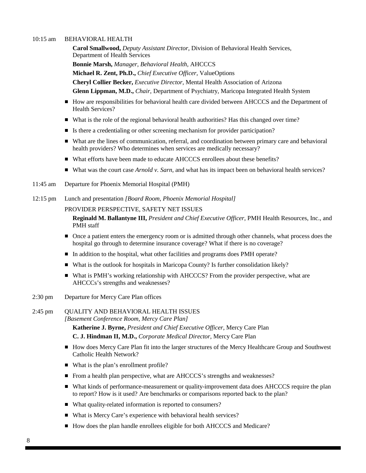#### 10:15 am BEHAVIORAL HEALTH

**Carol Smallwood,** *Deputy Assistant Director,* Division of Behavioral Health Services, Department of Health Services **Bonnie Marsh,** *Manager, Behavioral Health,* AHCCCS **Michael R. Zent, Ph.D.,** *Chief Executive Officer,* ValueOptions **Cheryl Collier Becker,** *Executive Director,* Mental Health Association of Arizona **Glenn Lippman, M.D.,** *Chair,* Department of Psychiatry, Maricopa Integrated Health System

- How are responsibilities for behavioral health care divided between AHCCCS and the Department of Health Services?
- What is the role of the regional behavioral health authorities? Has this changed over time?
- Is there a credentialing or other screening mechanism for provider participation?
- What are the lines of communication, referral, and coordination between primary care and behavioral health providers? Who determines when services are medically necessary?
- What efforts have been made to educate AHCCCS enrollees about these benefits?
- What was the court case *Arnold v. Sarn*, and what has its impact been on behavioral health services?
- 11:45 am Departure for Phoenix Memorial Hospital (PMH)
- 12:15 pm Lunch and presentation *[Board Room, Phoenix Memorial Hospital]*

#### PROVIDER PERSPECTIVE, SAFETY NET ISSUES

**Reginald M. Ballantyne III,** *President and Chief Executive Officer,* PMH Health Resources, Inc., and PMH staff

- Once a patient enters the emergency room or is admitted through other channels, what process does the hospital go through to determine insurance coverage? What if there is no coverage?
- In addition to the hospital, what other facilities and programs does PMH operate?
- What is the outlook for hospitals in Maricopa County? Is further consolidation likely?
- What is PMH's working relationship with AHCCCS? From the provider perspective, what are AHCCCs's strengths and weaknesses?
- 2:30 pm Departure for Mercy Care Plan offices

```
2:45 pm QUALITY AND BEHAVIORAL HEALTH ISSUES
[Basement Conference Room, Mercy Care Plan]
  Katherine J. Byrne, President and Chief Executive Officer, Mercy Care Plan
  C. J. Hindman II, M.D., Corporate Medical Director, Mercy Care Plan
```
- How does Mercy Care Plan fit into the larger structures of the Mercy Healthcare Group and Southwest Catholic Health Network?
- What is the plan's enrollment profile?
- From a health plan perspective, what are AHCCCS's strengths and weaknesses?
- What kinds of performance-measurement or quality-improvement data does AHCCCS require the plan to report? How is it used? Are benchmarks or comparisons reported back to the plan?
- What quality-related information is reported to consumers?
- What is Mercy Care's experience with behavioral health services?
- How does the plan handle enrollees eligible for both AHCCCS and Medicare?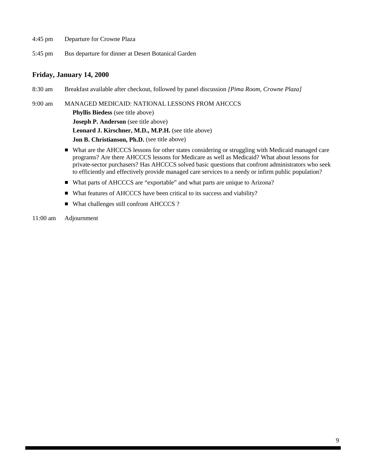- 4:45 pm Departure for Crowne Plaza
- 5:45 pm Bus departure for dinner at Desert Botanical Garden

#### **Friday, January 14, 2000**

8:30 am Breakfast available after checkout, followed by panel discussion *[Pima Room, Crowne Plaza]*

9:00 am MANAGED MEDICAID: NATIONAL LESSONS FROM AHCCCS **Phyllis Biedess** (see title above) **Joseph P. Anderson** (see title above) **Leonard J. Kirschner, M.D., M.P.H.** (see title above) **Jon B. Christianson, Ph.D.** (see title above)

- What are the AHCCCS lessons for other states considering or struggling with Medicaid managed care programs? Are there AHCCCS lessons for Medicare as well as Medicaid? What about lessons for private-sector purchasers? Has AHCCCS solved basic questions that confront administrators who seek to efficiently and effectively provide managed care services to a needy or infirm public population?
- What parts of AHCCCS are "exportable" and what parts are unique to Arizona?
- What features of AHCCCS have been critical to its success and viability?
- What challenges still confront AHCCCS ?
- 11:00 am Adjournment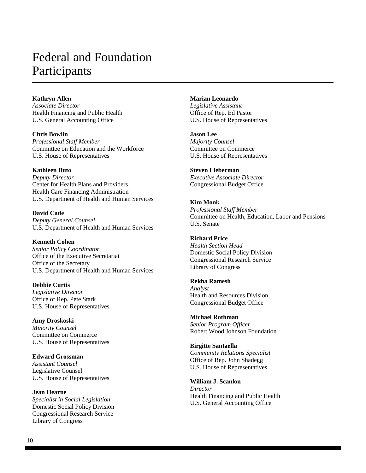## Federal and Foundation Participants

#### **Kathryn Allen**

*Associate Director* Health Financing and Public Health U.S. General Accounting Office

**Chris Bowlin** *Professional Staff Member* Committee on Education and the Workforce U.S. House of Representatives

#### **Kathleen Buto**

*Deputy Director* Center for Health Plans and Providers Health Care Financing Administration U.S. Department of Health and Human Services

**David Cade** *Deputy General Counsel* U.S. Department of Health and Human Services

#### **Kenneth Cohen**

*Senior Policy Coordinator* Office of the Executive Secretariat Office of the Secretary U.S. Department of Health and Human Services

**Debbie Curtis** *Legislative Director* Office of Rep. Pete Stark U.S. House of Representatives

#### **Amy Droskoski**

*Minority Counsel* Committee on Commerce U.S. House of Representatives

**Edward Grossman** *Assistant Counsel*

Legislative Counsel U.S. House of Representatives

**Jean Hearne** *Specialist in Social Legislation* Domestic Social Policy Division Congressional Research Service Library of Congress

**Marian Leonardo**

*Legislative Assistant* Office of Rep. Ed Pastor U.S. House of Representatives

**Jason Lee**

*Majority Counsel* Committee on Commerce U.S. House of Representatives

#### **Steven Lieberman**

*Executive Associate Director* Congressional Budget Office

#### **Kim Monk**

*Professional Staff Member* Committee on Health, Education, Labor and Pensions U.S. Senate

#### **Richard Price** *Health Section Head* Domestic Social Policy Division Congressional Research Service Library of Congress

#### **Rekha Ramesh**

*Analyst* Health and Resources Division Congressional Budget Office

#### **Michael Rothman**

*Senior Program Officer* Robert Wood Johnson Foundation

#### **Birgitte Santaella**

*Community Relations Specialist* Office of Rep. John Shadegg U.S. House of Representatives

**William J. Scanlon**

*Director* Health Financing and Public Health U.S. General Accounting Office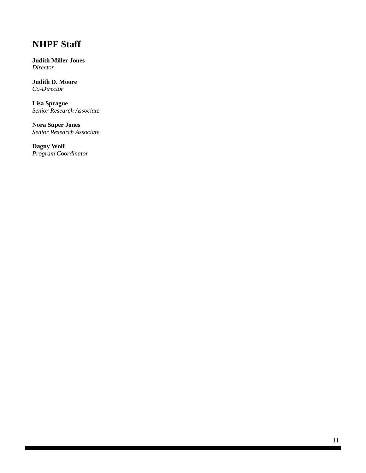## **NHPF Staff**

**Judith Miller Jones** *Director*

**Judith D. Moore** *Co-Director*

**Lisa Sprague** *Senior Research Associate*

**Nora Super Jones** *Senior Research Associate*

**Dagny Wolf** *Program Coordinator*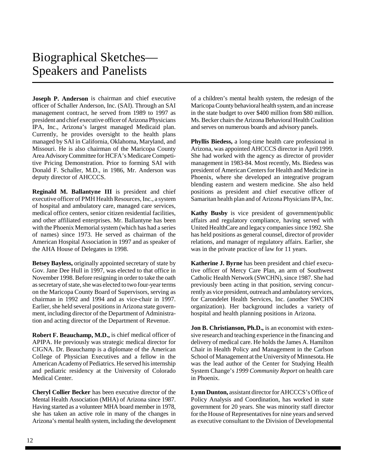## Biographical Sketches— Speakers and Panelists

**Joseph P. Anderson** is chairman and chief executive officer of Schaller Anderson, Inc. (SAI). Through an SAI management contract, he served from 1989 to 1997 as president and chief executive officer of Arizona Physicians IPA, Inc., Arizona's largest managed Medicaid plan. Currently, he provides oversight to the health plans managed by SAI in California, Oklahoma, Maryland, and Missouri. He is also chairman of the Maricopa County Area Advisory Committee for HCFA's Medicare Competitive Pricing Demonstration. Prior to forming SAI with Donald F. Schaller, M.D., in 1986, Mr. Anderson was deputy director of AHCCCS.

**Reginald M. Ballantyne III** is president and chief executive officer of PMH Health Resources, Inc., a system of hospital and ambulatory care, managed care services, medical office centers, senior citizen residential facilities, and other affiliated enterprises. Mr. Ballantyne has been with the Phoenix Memorial system (which has had a series of names) since 1973. He served as chairman of the American Hospital Association in 1997 and as speaker of the AHA House of Delegates in 1998.

**Betsey Bayless,** originally appointed secretary of state by Gov. Jane Dee Hull in 1997, was elected to that office in November 1998. Before resigning in order to take the oath as secretary of state, she was elected to two four-year terms on the Maricopa County Board of Supervisors, serving as chairman in 1992 and 1994 and as vice-chair in 1997. Earlier, she held several positions in Arizona state government, including director of the Department of Administration and acting director of the Department of Revenue.

**Robert F. Beauchamp, M.D.,** is chief medical officer of APIPA. He previously was strategic medical director for CIGNA. Dr. Beauchamp is a diplomate of the American College of Physician Executives and a fellow in the American Academy of Pediatrics. He served his internship and pediatric residency at the University of Colorado Medical Center.

**Cheryl Collier Becker** has been executive director of the Mental Health Association (MHA) of Arizona since 1987. Having started as a volunteer MHA board member in 1978, she has taken an active role in many of the changes in Arizona's mental health system, including the development of a children's mental health system, the redesign of the Maricopa County behavioral health system, and an increase in the state budget to over \$400 million from \$80 million. Ms. Becker chairs the Arizona Behavioral Health Coalition and serves on numerous boards and advisory panels.

**Phyllis Biedess,** a long-time health care professional in Arizona, was appointed AHCCCS director in April 1999. She had worked with the agency as director of provider management in 1983-84. Most recently, Ms. Biedess was president of American Centers for Health and Medicine in Phoenix, where she developed an integrative program blending eastern and western medicine. She also held positions as president and chief executive officer of Samaritan health plan and of Arizona Physicians IPA, Inc.

**Kathy Busby** is vice president of government/public affairs and regulatory compliance, having served with United HealthCare and legacy companies since 1992. She has held positions as general counsel, director of provider relations, and manager of regulatory affairs. Earlier, she was in the private practice of law for 11 years.

**Katherine J. Byrne** has been president and chief executive officer of Mercy Care Plan, an arm of Southwest Catholic Health Network (SWCHN), since 1987. She had previously been acting in that position, serving concurrently as vice president, outreach and ambulatory services, for Carondelet Health Services, Inc. (another SWCHN organization). Her background includes a variety of hospital and health planning positions in Arizona.

**Jon B. Christianson, Ph.D.,** is an economist with extensive research and teaching experience in the financing and delivery of medical care. He holds the James A. Hamilton Chair in Health Policy and Management in the Carlson School of Management at the University of Minnesota. He was the lead author of the Center for Studying Health System Change's *1999 Community Report* on health care in Phoenix.

**Lynn Dunton,** assistant director for AHCCCS's Office of Policy Analysis and Coordination, has worked in state government for 20 years. She was minority staff director for the House of Representatives for nine years and served as executive consultant to the Division of Developmental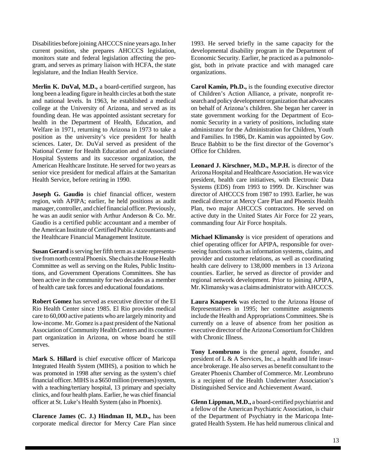Disabilities before joining AHCCCS nine years ago. In her current position, she prepares AHCCCS legislation, monitors state and federal legislation affecting the program, and serves as primary liaison with HCFA, the state legislature, and the Indian Health Service.

**Merlin K. DuVal, M.D.,** a board-certified surgeon, has long been a leading figure in health circles at both the state and national levels. In 1963, he established a medical college at the University of Arizona, and served as its founding dean. He was appointed assistant secretary for health in the Department of Health, Education, and Welfare in 1971, returning to Arizona in 1973 to take a position as the university's vice president for health sciences. Later, Dr. DuVal served as president of the National Center for Health Education and of Associated Hospital Systems and its successor organization, the American Healthcare Institute. He served for two years as senior vice president for medical affairs at the Samaritan Health Service, before retiring in 1990.

**Joseph G. Gaudio** is chief financial officer, western region, with APIPA; earlier, he held positions as audit manager, controller, and chief financial officer. Previously, he was an audit senior with Arthur Anderson & Co. Mr. Gaudio is a certified public accountant and a member of the American Institute of Certified Public Accountants and the Healthcare Financial Management Institute.

**Susan Gerard** is serving her fifth term as a state representative from north central Phoenix. She chairs the House Health Committee as well as serving on the Rules, Public Institutions, and Government Operations Committees. She has been active in the community for two decades as a member of health care task forces and educational foundations.

**Robert Gomez** has served as executive director of the El Rio Health Center since 1985. El Rio provides medical care to 60,000 active patients who are largely minority and low-income. Mr. Gomez is a past president of the National Association of Community Health Centers and its counterpart organization in Arizona, on whose board he still serves.

**Mark S. Hillard** is chief executive officer of Maricopa Integrated Health System (MIHS), a position to which he was promoted in 1998 after serving as the system's chief financial officer. MIHS is a \$650 million (revenues) system, with a teaching/tertiary hospital, 13 primary and specialty clinics, and four health plans. Earlier, he was chief financial officer at St. Luke's Health System (also in Phoenix).

**Clarence James (C. J.) Hindman II, M.D.,** has been corporate medical director for Mercy Care Plan since

1993. He served briefly in the same capacity for the developmental disability program in the Department of Economic Security. Earlier, he practiced as a pulmonologist, both in private practice and with managed care organizations.

**Carol Kamin, Ph.D.,** is the founding executive director of Children's Action Alliance, a private, nonprofit research and policy development organization that advocates on behalf of Arizona's children. She began her career in state government working for the Department of Economic Security in a variety of positions, including state administrator for the Administration for Children, Youth and Families. In 1986, Dr. Kamin was appointed by Gov. Bruce Babbitt to be the first director of the Governor's Office for Children.

**Leonard J. Kirschner, M.D., M.P.H.** is director of the Arizona Hospital and Healthcare Association. He was vice president, health care initiatives, with Electronic Data Systems (EDS) from 1993 to 1999. Dr. Kirschner was director of AHCCCS from 1987 to 1993. Earlier, he was medical director at Mercy Care Plan and Phoenix Health Plan, two major AHCCCS contractors. He served on active duty in the United States Air Force for 22 years, commanding four Air Force hospitals.

**Michael Klimansky** is vice president of operations and chief operating officer for APIPA, responsible for overseeing functions such as information systems, claims, and provider and customer relations, as well as coordinating health care delivery to 138,000 members in 13 Arizona counties. Earlier, he served as director of provider and regional network development. Prior to joining APIPA, Mr. Klimansky was a claims administrator with AHCCCS.

**Laura Knaperek** was elected to the Arizona House of Representatives in 1995; her committee assignments include the Health and Appropriations Committees. She is currently on a leave of absence from her position as executive director of the Arizona Consortium for Children with Chronic Illness.

**Tony Leombruno** is the general agent, founder, and president of L & A Services, Inc., a health and life insurance brokerage. He also serves as benefit consultant to the Greater Phoenix Chamber of Commerce. Mr. Leombruno is a recipient of the Health Underwriter Association's Distinguished Service and Achievement Award.

**Glenn Lippman, M.D.,** a board-certified psychiatrist and a fellow of the American Psychiatric Association, is chair of the Department of Psychiatry in the Maricopa Integrated Health System. He has held numerous clinical and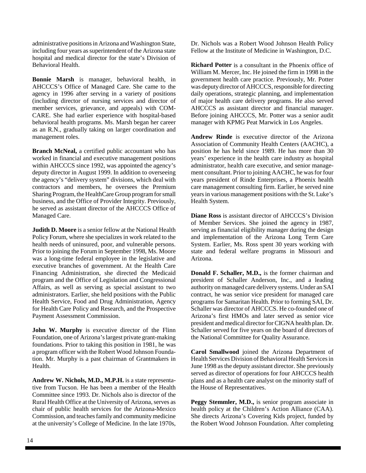administrative positions in Arizona and Washington State, including four years as superintendent of the Arizona state hospital and medical director for the state's Division of Behavioral Health.

**Bonnie Marsh** is manager, behavioral health, in AHCCCS's Office of Managed Care. She came to the agency in 1996 after serving in a variety of positions (including director of nursing services and director of member services, grievance, and appeals) with COM-CARE. She had earlier experience with hospital-based behavioral health programs. Ms. Marsh began her career as an R.N., gradually taking on larger coordination and management roles.

**Branch McNeal,** a certified public accountant who has worked in financial and executive management positions within AHCCCS since 1992, was appointed the agency's deputy director in August 1999. In addition to overseeing the agency's "delivery system" divisions, which deal with contractors and members, he oversees the Premium Sharing Program, the HealthCare Group program for small business, and the Office of Provider Integrity. Previously, he served as assistant director of the AHCCCS Office of Managed Care.

**Judith D. Moore** is a senior fellow at the National Health Policy Forum, where she specializes in work related to the health needs of uninsured, poor, and vulnerable persons. Prior to joining the Forum in September 1998, Ms. Moore was a long-time federal employee in the legislative and executive branches of government. At the Health Care Financing Administration, she directed the Medicaid program and the Office of Legislation and Congressional Affairs, as well as serving as special assistant to two administrators. Earlier, she held positions with the Public Health Service, Food and Drug Administration, Agency for Health Care Policy and Research, and the Prospective Payment Assessment Commission.

**John W. Murphy** is executive director of the Flinn Foundation, one of Arizona's largest private grant-making foundations. Prior to taking this position in 1981, he was a program officer with the Robert Wood Johnson Foundation. Mr. Murphy is a past chairman of Grantmakers in Health.

**Andrew W. Nichols, M.D., M.P.H.** is a state representative from Tucson. He has been a member of the Health Committee since 1993. Dr. Nichols also is director of the Rural Health Office at the University of Arizona, serves as chair of public health services for the Arizona-Mexico Commission, and teaches family and community medicine at the university's College of Medicine. In the late 1970s,

Dr. Nichols was a Robert Wood Johnson Health Policy Fellow at the Institute of Medicine in Washington, D.C.

**Richard Potter** is a consultant in the Phoenix office of William M. Mercer, Inc. He joined the firm in 1998 in the government health care practice. Previously, Mr. Potter was deputy director of AHCCCS, responsible for directing daily operations, strategic planning, and implementation of major health care delivery programs. He also served AHCCCS as assistant director and financial manager. Before joining AHCCCS, Mr. Potter was a senior audit manager with KPMG Peat Marwick in Los Angeles.

**Andrew Rinde** is executive director of the Arizona Association of Community Health Centers (AACHC), a position he has held since 1989. He has more than 30 years' experience in the health care industry as hospital administrator, health care executive, and senior management consultant. Prior to joining AACHC, he was for four years president of Rinde Enterprises, a Phoenix health care management consulting firm. Earlier, he served nine years in various management positions with the St. Luke's Health System.

**Diane Ross** is assistant director of AHCCCS's Division of Member Services. She joined the agency in 1987, serving as financial eligibility manager during the design and implementation of the Arizona Long Term Care System. Earlier, Ms. Ross spent 30 years working with state and federal welfare programs in Missouri and Arizona.

**Donald F. Schaller, M.D.,** is the former chairman and president of Schaller Anderson, Inc., and a leading authority on managed care delivery systems. Under an SAI contract, he was senior vice president for managed care programs for Samaritan Health. Prior to forming SAI, Dr. Schaller was director of AHCCCS. He co-founded one of Arizona's first HMOs and later served as senior vice president and medical director for CIGNA health plan. Dr. Schaller served for five years on the board of directors of the National Committee for Quality Assurance.

**Carol Smallwood** joined the Arizona Department of Health Services Division of Behavioral Health Services in June 1998 as the deputy assistant director. She previously served as director of operations for four AHCCCS health plans and as a health care analyst on the minority staff of the House of Representatives.

**Peggy Stemmler, M.D.,** is senior program associate in health policy at the Children's Action Alliance (CAA). She directs Arizona's Covering Kids project, funded by the Robert Wood Johnson Foundation. After completing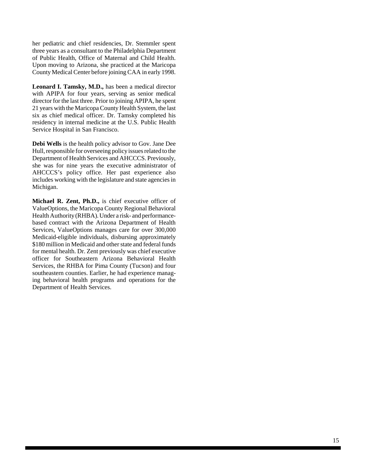her pediatric and chief residencies, Dr. Stemmler spent three years as a consultant to the Philadelphia Department of Public Health, Office of Maternal and Child Health. Upon moving to Arizona, she practiced at the Maricopa County Medical Center before joining CAA in early 1998.

**Leonard I. Tamsky, M.D.,** has been a medical director with APIPA for four years, serving as senior medical director for the last three. Prior to joining APIPA, he spent 21 years with the Maricopa County Health System, the last six as chief medical officer. Dr. Tamsky completed his residency in internal medicine at the U.S. Public Health Service Hospital in San Francisco.

**Debi Wells** is the health policy advisor to Gov. Jane Dee Hull, responsible for overseeing policy issues related to the Department of Health Services and AHCCCS. Previously, she was for nine years the executive administrator of AHCCCS's policy office. Her past experience also includes working with the legislature and state agencies in Michigan.

**Michael R. Zent, Ph.D.,** is chief executive officer of ValueOptions, the Maricopa County Regional Behavioral Health Authority (RHBA). Under a risk- and performancebased contract with the Arizona Department of Health Services, ValueOptions manages care for over 300,000 Medicaid-eligible individuals, disbursing approximately \$180 million in Medicaid and other state and federal funds for mental health. Dr. Zent previously was chief executive officer for Southeastern Arizona Behavioral Health Services, the RHBA for Pima County (Tucson) and four southeastern counties. Earlier, he had experience managing behavioral health programs and operations for the Department of Health Services.